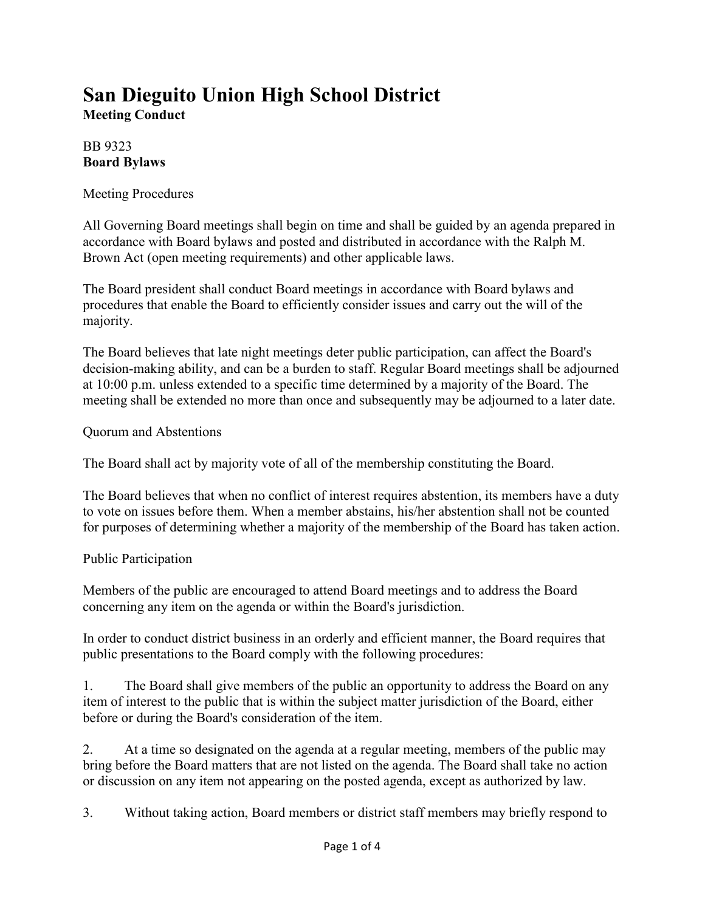## **San Dieguito Union High School District Meeting Conduct**

## BB 9323 **Board Bylaws**

Meeting Procedures

All Governing Board meetings shall begin on time and shall be guided by an agenda prepared in accordance with Board bylaws and posted and distributed in accordance with the Ralph M. Brown Act (open meeting requirements) and other applicable laws.

The Board president shall conduct Board meetings in accordance with Board bylaws and procedures that enable the Board to efficiently consider issues and carry out the will of the majority.

The Board believes that late night meetings deter public participation, can affect the Board's decision-making ability, and can be a burden to staff. Regular Board meetings shall be adjourned at 10:00 p.m. unless extended to a specific time determined by a majority of the Board. The meeting shall be extended no more than once and subsequently may be adjourned to a later date.

Quorum and Abstentions

The Board shall act by majority vote of all of the membership constituting the Board.

The Board believes that when no conflict of interest requires abstention, its members have a duty to vote on issues before them. When a member abstains, his/her abstention shall not be counted for purposes of determining whether a majority of the membership of the Board has taken action.

Public Participation

Members of the public are encouraged to attend Board meetings and to address the Board concerning any item on the agenda or within the Board's jurisdiction.

In order to conduct district business in an orderly and efficient manner, the Board requires that public presentations to the Board comply with the following procedures:

1. The Board shall give members of the public an opportunity to address the Board on any item of interest to the public that is within the subject matter jurisdiction of the Board, either before or during the Board's consideration of the item.

2. At a time so designated on the agenda at a regular meeting, members of the public may bring before the Board matters that are not listed on the agenda. The Board shall take no action or discussion on any item not appearing on the posted agenda, except as authorized by law.

3. Without taking action, Board members or district staff members may briefly respond to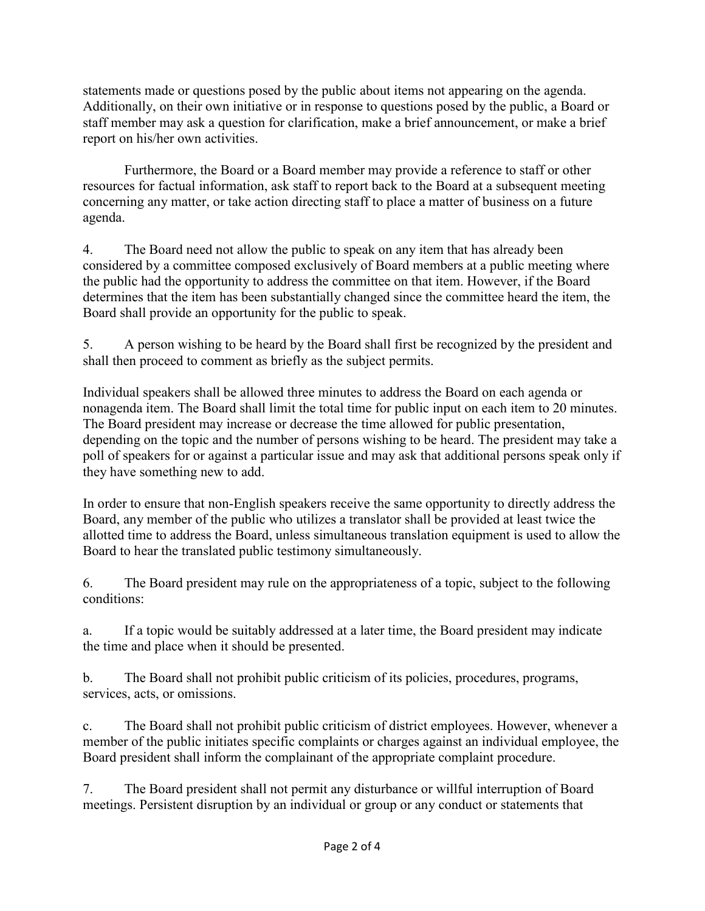statements made or questions posed by the public about items not appearing on the agenda. Additionally, on their own initiative or in response to questions posed by the public, a Board or staff member may ask a question for clarification, make a brief announcement, or make a brief report on his/her own activities.

Furthermore, the Board or a Board member may provide a reference to staff or other resources for factual information, ask staff to report back to the Board at a subsequent meeting concerning any matter, or take action directing staff to place a matter of business on a future agenda.

4. The Board need not allow the public to speak on any item that has already been considered by a committee composed exclusively of Board members at a public meeting where the public had the opportunity to address the committee on that item. However, if the Board determines that the item has been substantially changed since the committee heard the item, the Board shall provide an opportunity for the public to speak.

5. A person wishing to be heard by the Board shall first be recognized by the president and shall then proceed to comment as briefly as the subject permits.

Individual speakers shall be allowed three minutes to address the Board on each agenda or nonagenda item. The Board shall limit the total time for public input on each item to 20 minutes. The Board president may increase or decrease the time allowed for public presentation, depending on the topic and the number of persons wishing to be heard. The president may take a poll of speakers for or against a particular issue and may ask that additional persons speak only if they have something new to add.

In order to ensure that non-English speakers receive the same opportunity to directly address the Board, any member of the public who utilizes a translator shall be provided at least twice the allotted time to address the Board, unless simultaneous translation equipment is used to allow the Board to hear the translated public testimony simultaneously.

6. The Board president may rule on the appropriateness of a topic, subject to the following conditions:

a. If a topic would be suitably addressed at a later time, the Board president may indicate the time and place when it should be presented.

b. The Board shall not prohibit public criticism of its policies, procedures, programs, services, acts, or omissions.

c. The Board shall not prohibit public criticism of district employees. However, whenever a member of the public initiates specific complaints or charges against an individual employee, the Board president shall inform the complainant of the appropriate complaint procedure.

7. The Board president shall not permit any disturbance or willful interruption of Board meetings. Persistent disruption by an individual or group or any conduct or statements that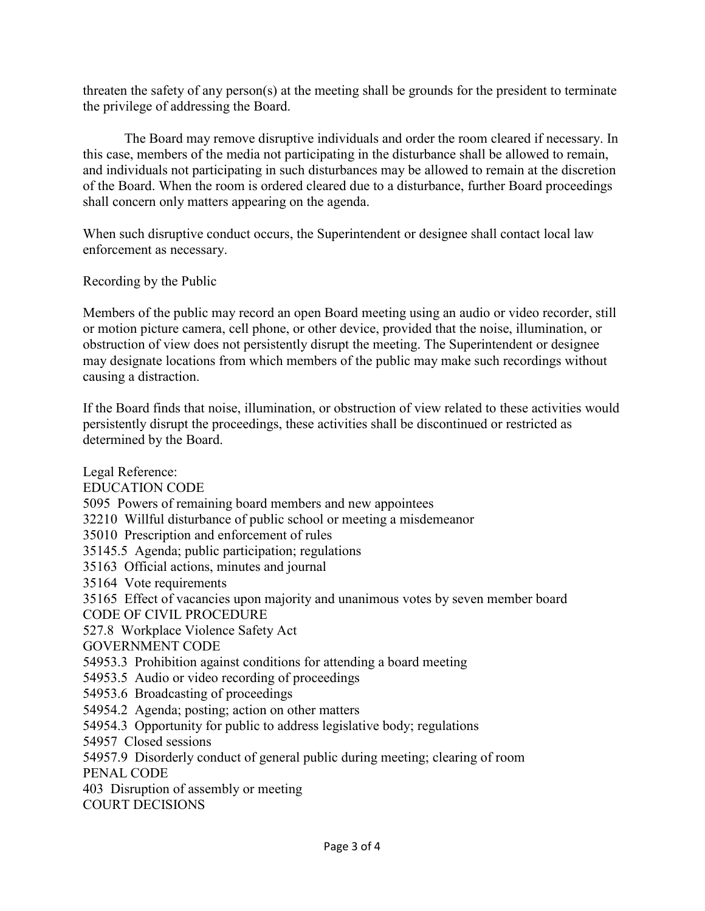threaten the safety of any person(s) at the meeting shall be grounds for the president to terminate the privilege of addressing the Board.

The Board may remove disruptive individuals and order the room cleared if necessary. In this case, members of the media not participating in the disturbance shall be allowed to remain, and individuals not participating in such disturbances may be allowed to remain at the discretion of the Board. When the room is ordered cleared due to a disturbance, further Board proceedings shall concern only matters appearing on the agenda.

When such disruptive conduct occurs, the Superintendent or designee shall contact local law enforcement as necessary.

Recording by the Public

Members of the public may record an open Board meeting using an audio or video recorder, still or motion picture camera, cell phone, or other device, provided that the noise, illumination, or obstruction of view does not persistently disrupt the meeting. The Superintendent or designee may designate locations from which members of the public may make such recordings without causing a distraction.

If the Board finds that noise, illumination, or obstruction of view related to these activities would persistently disrupt the proceedings, these activities shall be discontinued or restricted as determined by the Board.

Legal Reference: EDUCATION CODE 5095 Powers of remaining board members and new appointees 32210 Willful disturbance of public school or meeting a misdemeanor 35010 Prescription and enforcement of rules 35145.5 Agenda; public participation; regulations 35163 Official actions, minutes and journal 35164 Vote requirements 35165 Effect of vacancies upon majority and unanimous votes by seven member board CODE OF CIVIL PROCEDURE 527.8 Workplace Violence Safety Act GOVERNMENT CODE 54953.3 Prohibition against conditions for attending a board meeting 54953.5 Audio or video recording of proceedings 54953.6 Broadcasting of proceedings 54954.2 Agenda; posting; action on other matters 54954.3 Opportunity for public to address legislative body; regulations 54957 Closed sessions 54957.9 Disorderly conduct of general public during meeting; clearing of room PENAL CODE 403 Disruption of assembly or meeting COURT DECISIONS